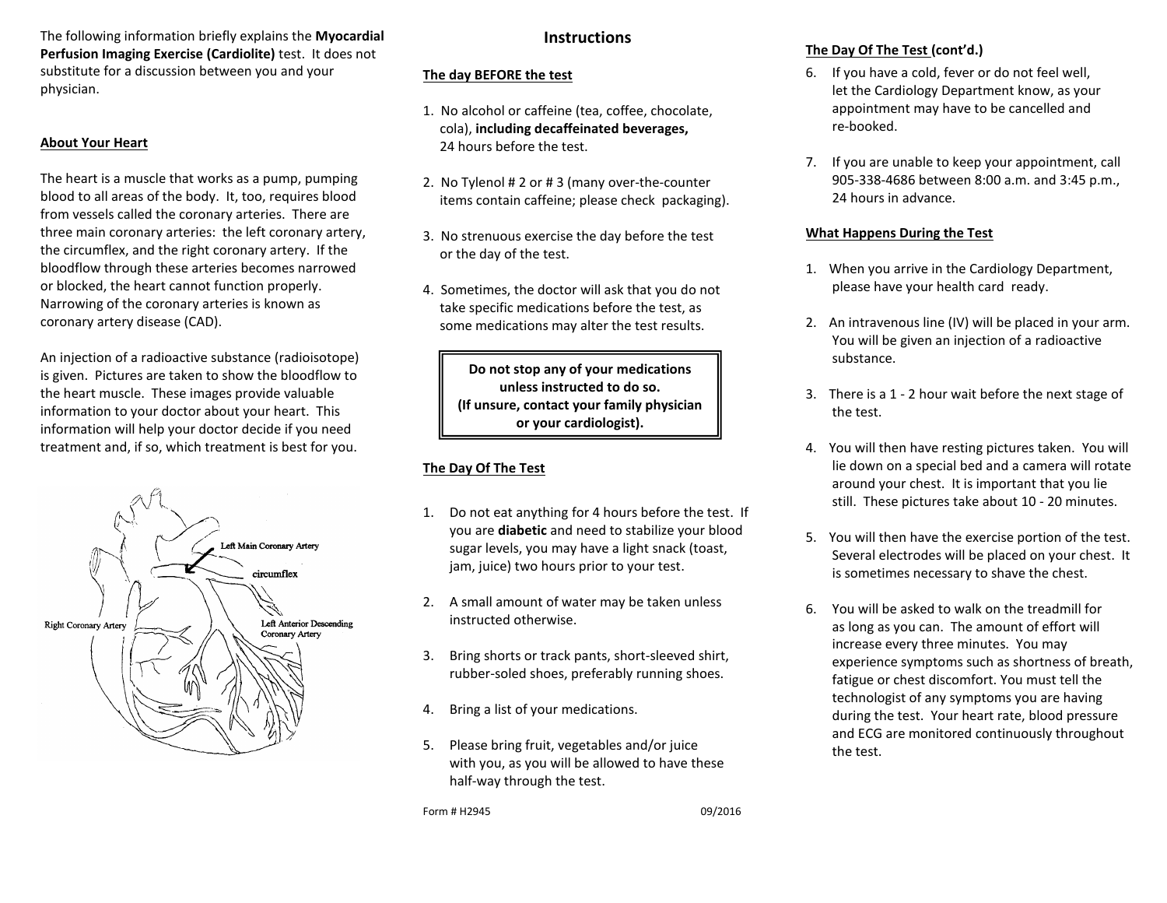The following information briefly explains the **Myocardial Perfusion Imaging Exercise (Cardiolite)** test. It does not substitute for a discussion between you and your physician.

#### **About Your Heart**

The heart is a muscle that works as a pump, pumping blood to all areas of the body. It, too, requires blood from vessels called the coronary arteries. There are three main coronary arteries: the left coronary artery, the circumflex, and the right coronary artery. If the bloodflow through these arteries becomes narrowed or blocked, the heart cannot function properly. Narrowing of the coronary arteries is known as coronary artery disease (CAD).

An injection of a radioactive substance (radioisotope) is given. Pictures are taken to show the bloodflow to the heart muscle. These images provide valuable information to your doctor about your heart. This information will help your doctor decide if you need treatment and, if so, which treatment is best for you.



# **Instructions**

#### **The day BEFORE the test**

- 1. No alcohol or caffeine (tea, coffee, chocolate, cola), **including decaffeinated beverages,** 24 hours before the test.
- 2. No Tylenol # 2 or # 3 (many over-the-counter items contain caffeine; please check packaging).
- 3. No strenuous exercise the day before the test or the day of the test.
- 4. Sometimes, the doctor will ask that you do not take specific medications before the test, as some medications may alter the test results.

**Do not stop any of your medications unless instructed to do so. (If unsure, contact your family physician or your cardiologist).**

# **The Day Of The Test**

- 1. Do not eat anything for 4 hours before the test. If you are **diabetic** and need to stabilize your blood sugar levels, you may have a light snack (toast, jam, juice) two hours prior to your test.
- 2. A small amount of water may be taken unless instructed otherwise.
- 3. Bring shorts or track pants, short-sleeved shirt, rubber-soled shoes, preferably running shoes.
- 4. Bring a list of your medications.
- 5. Please bring fruit, vegetables and/or juice with you, as you will be allowed to have these half-way through the test.

Form # H2945 09/2016

**The Day Of The Test (cont'd.)**

- 6. If you have a cold, fever or do not feel well, let the Cardiology Department know, as your appointment may have to be cancelled and re-booked.
- 7. If you are unable to keep your appointment, call 905-338-4686 between 8:00 a.m. and 3:45 p.m., 24 hours in advance.

#### **What Happens During the Test**

- 1. When you arrive in the Cardiology Department, please have your health card ready.
- 2. An intravenous line (IV) will be placed in your arm. You will be given an injection of a radioactive substance.
- 3. There is a 1 2 hour wait before the next stage of the test.
- 4. You will then have resting pictures taken. You will lie down on a special bed and a camera will rotate around your chest. It is important that you lie still. These pictures take about 10 - 20 minutes.
- 5. You will then have the exercise portion of the test. Several electrodes will be placed on your chest. It is sometimes necessary to shave the chest.
- 6. You will be asked to walk on the treadmill for as long as you can. The amount of effort will increase every three minutes. You may experience symptoms such as shortness of breath, fatigue or chest discomfort. You must tell the technologist of any symptoms you are having during the test. Your heart rate, blood pressure and ECG are monitored continuously throughout the test.